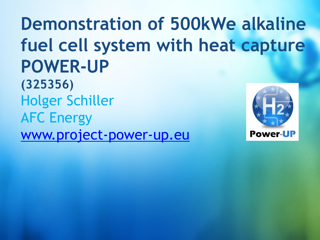**Demonstration of 500kWe alkaline fuel cell system with heat capture POWER-UP (325356)** Holger Schiller AFC Energy [www.project-power-up.eu](http://www.projectwebsite.eu/) **Power-UP**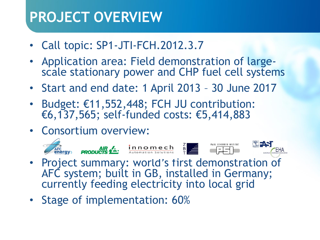# **PROJECT OVERVIEW**

- Call topic: SP1-JTI-FCH.2012.3.7
- Application area: Field demonstration of largescale stationary power and CHP fuel cell systems
- Start and end date: 1 April 2013 30 June 2017
- Budget: €11,552,448; FCH JU contribution: €6,137,565; self-funded costs: €5,414,883
- Consortium overview:



- Project summary: world's first demonstration of AFC system; built in GB, installed in Germany; currently feeding electricity into local grid
- Stage of implementation: 60%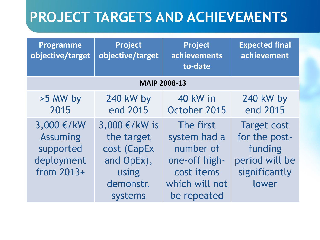# **PROJECT TARGETS AND ACHIEVEMENTS**

| Programme<br>objective/target                                            | Project<br>objective/target                                                               | Project<br>achievements<br>to-date                                                                     | <b>Expected final</b><br>achievement                                                       |  |
|--------------------------------------------------------------------------|-------------------------------------------------------------------------------------------|--------------------------------------------------------------------------------------------------------|--------------------------------------------------------------------------------------------|--|
| <b>MAIP 2008-13</b>                                                      |                                                                                           |                                                                                                        |                                                                                            |  |
| >5 MW by<br>2015                                                         | 240 kW by<br>end 2015                                                                     | 40 kW in<br>October 2015                                                                               | 240 kW by<br>end 2015                                                                      |  |
| 3,000 €/kW<br><b>Assuming</b><br>supported<br>deployment<br>from $2013+$ | 3,000 €/kW is<br>the target<br>cost (CapEx<br>and OpEx),<br>using<br>demonstr.<br>systems | The first<br>system had a<br>number of<br>one-off high-<br>cost items<br>which will not<br>be repeated | <b>Target cost</b><br>for the post-<br>funding<br>period will be<br>significantly<br>lower |  |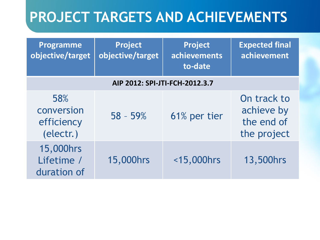# **PROJECT TARGETS AND ACHIEVEMENTS**

| <b>Programme</b><br>objective/target         | <b>Project</b><br>objective/target | <b>Project</b><br>achievements<br>to-date | <b>Expected final</b><br>achievement                   |  |
|----------------------------------------------|------------------------------------|-------------------------------------------|--------------------------------------------------------|--|
| AIP 2012: SPI-JTI-FCH-2012.3.7               |                                    |                                           |                                                        |  |
| 58%<br>conversion<br>efficiency<br>(electr.) | $58 - 59%$                         | 61% per tier                              | On track to<br>achieve by<br>the end of<br>the project |  |
| 15,000hrs<br>Lifetime /<br>duration of       | 15,000hrs                          | <15,000hrs                                | 13,500hrs                                              |  |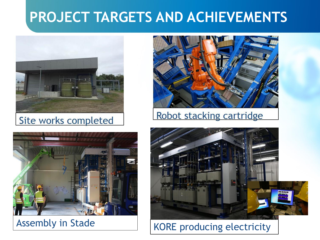# **PROJECT TARGETS AND ACHIEVEMENTS**



### Site works completed





### Robot stacking cartridge



## Assembly in Stade KORE producing electricity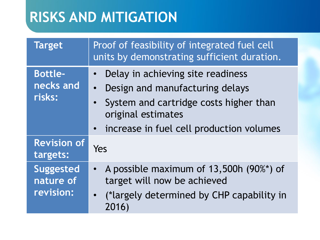# **RISKS AND MITIGATION**

| <b>Target</b>                              | Proof of feasibility of integrated fuel cell<br>units by demonstrating sufficient duration.                                                                                                     |  |  |
|--------------------------------------------|-------------------------------------------------------------------------------------------------------------------------------------------------------------------------------------------------|--|--|
| <b>Bottle-</b><br>necks and<br>risks:      | Delay in achieving site readiness<br>$\bullet$<br>Design and manufacturing delays<br>System and cartridge costs higher than<br>original estimates<br>• increase in fuel cell production volumes |  |  |
| <b>Revision of</b><br>targets:             | Yes                                                                                                                                                                                             |  |  |
| <b>Suggested</b><br>nature of<br>revision: | • A possible maximum of 13,500h (90%*) of<br>target will now be achieved<br>(*largely determined by CHP capability in<br>2016)                                                                  |  |  |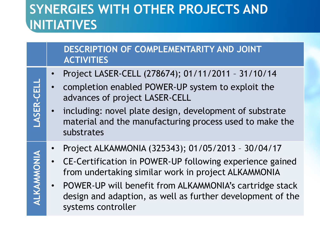## **SYNERGIES WITH OTHER PROJECTS AND INITIATIVES**

#### **DESCRIPTION OF COMPLEMENTARITY AND JOINT ACTIVITIES**

- Project LASER-CELL (278674); 01/11/2011 31/10/14
- completion enabled POWER-UP system to exploit the advances of project LASER-CELL
- including: novel plate design, development of substrate material and the manufacturing process used to make the substrates
- Project ALKAMMONIA (325343); 01/05/2013 30/04/17
- CE-Certification in POWER-UP following experience gained from undertaking similar work in project ALKAMMONIA
- POWER-UP will benefit from ALKAMMONIA's cartridge stack design and adaption, as well as further development of the systems controller

**LASER -CELL ALKAMMONIA**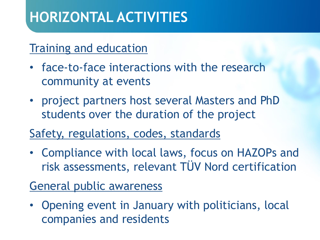# **HORIZONTAL ACTIVITIES**

### Training and education

- face-to-face interactions with the research community at events
- project partners host several Masters and PhD students over the duration of the project
- Safety, regulations, codes, standards
- Compliance with local laws, focus on HAZOPs and risk assessments, relevant TÜV Nord certification

### General public awareness

• Opening event in January with politicians, local companies and residents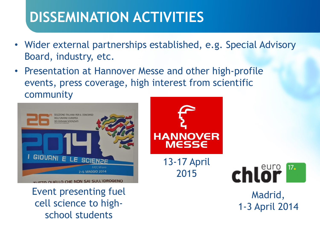# **DISSEMINATION ACTIVITIES**

- Wider external partnerships established, e.g. Special Advisory Board, industry, etc.
- Presentation at Hannover Messe and other high-profile events, press coverage, high interest from scientific community



Event presenting fuel cell science to highschool students





Madrid, 1-3 April 2014